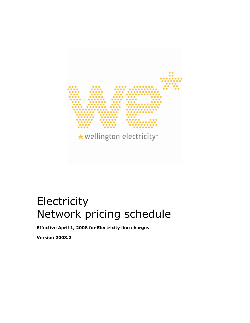

# **Electricity** Network pricing schedule

Effective April 1, 2008 for Electricity line charges

Version 2008.2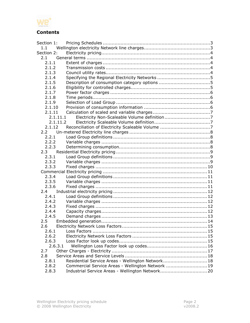

# Contents

| Section 1:    |                                                   |  |
|---------------|---------------------------------------------------|--|
| 1.1           |                                                   |  |
| Section 2:    |                                                   |  |
| 2.1           |                                                   |  |
| 2.1.1         |                                                   |  |
| 2.1.2         |                                                   |  |
| 2.1.3         |                                                   |  |
| 2.1.4         |                                                   |  |
| 2.1.5         |                                                   |  |
| 2.1.6         |                                                   |  |
| 2.1.7         |                                                   |  |
| 2.1.8         |                                                   |  |
| 2.1.9         |                                                   |  |
| 2.1.10        |                                                   |  |
| 2.1.11        |                                                   |  |
| 2.1.11.1      |                                                   |  |
| 2.1.11.2      |                                                   |  |
| 2.1.12        |                                                   |  |
| $2.2^{\circ}$ |                                                   |  |
| 2.2.1         |                                                   |  |
| 2.2.2         |                                                   |  |
| 2.2.3         |                                                   |  |
| $2.3 -$       |                                                   |  |
| 2.3.1         |                                                   |  |
| 2.3.2         |                                                   |  |
| 2.3.3         |                                                   |  |
|               |                                                   |  |
| 2.3.4         |                                                   |  |
| 2.3.5         |                                                   |  |
| 2.3.6         |                                                   |  |
| 2.4           |                                                   |  |
| 2.4.1         |                                                   |  |
| 2.4.2         |                                                   |  |
| 2.4.3         |                                                   |  |
| 2.4.4         |                                                   |  |
| 2.4.5         |                                                   |  |
| 2.5           |                                                   |  |
| 2.6           |                                                   |  |
| 2.6.1         |                                                   |  |
| 2.6.2         |                                                   |  |
| 2.6.3         |                                                   |  |
| 2.6.3.1       |                                                   |  |
| 2.7           |                                                   |  |
| 2.8           |                                                   |  |
| 2.8.1         | Residential Service Areas - Wellington Network 18 |  |
| 2.8.2         | Commercial Service Areas - Wellington Network  19 |  |
|               |                                                   |  |
| 2.8.3         |                                                   |  |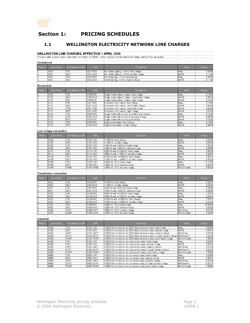

## Section 1: PRICING SCHEDULES

#### 1.1 WELLINGTON ELECTRICITY NETWORK LINE CHARGES

#### WELLINGTON LINE CHARGES, EFFECTIVE 1 APRIL 2008

|                         |                               | <b>WELLINGTON LINE CHARGES, EFFECTIVE 1 APRIL 2008</b> |                        | This price table is to be read in conjunction with Module 15 v2008.1, which includes a full description of charges and how they are applied. |                            |                  |
|-------------------------|-------------------------------|--------------------------------------------------------|------------------------|----------------------------------------------------------------------------------------------------------------------------------------------|----------------------------|------------------|
| Un-metered              |                               |                                                        |                        |                                                                                                                                              |                            |                  |
| Region                  | Load Group                    | Consumption Code                                       | Code                   | Description                                                                                                                                  | <b>Units</b>               | Charge           |
| G                       | G001                          | <b>FIXD</b>                                            | G001-FIXD              | Non street lighting, <1kVA, fixed charge                                                                                                     | \$/day                     | 0.0285           |
| G                       | G001                          | 24UC                                                   | G001-24UC              | Non street lighting, <1kVA, variable charge                                                                                                  | \$/kWh                     | 0.1146           |
| G                       | G002                          | <b>FIXD</b>                                            | G002-FIXD              | Street lighting, <1kVA, fixed charge                                                                                                         | \$/day                     | 0.0285           |
| G                       | G002                          | 24UC                                                   | G002-24UC              | Street lighting, <1kVA, variable charge                                                                                                      | \$/kWh                     | 0.1146           |
|                         |                               |                                                        |                        |                                                                                                                                              |                            |                  |
| Residential             |                               |                                                        |                        |                                                                                                                                              |                            |                  |
| Region                  | Load Group                    | Consumption Code                                       | Code                   | Description                                                                                                                                  | Units                      | Charge           |
| G                       | G100                          | <b>FIXD</b>                                            | G100-FIXD              | Single meter without control, fixed charge                                                                                                   | \$/day                     | 0.1500           |
| $\overline{G}$          | G100                          | <b>24UC</b>                                            | G100-24UC              | Single meter without control, uncontrolled charge                                                                                            | \$/kWh                     | 0.0824           |
| G                       | G100                          | <b>NITE</b>                                            | G100-NITE              | Single meter without control, night charge                                                                                                   | \$/kWh                     | 0.0140           |
| $\frac{1}{2}$           | G101                          | <b>FIXD</b>                                            | G101-FIXD              | Dual meter with control, fixed charge                                                                                                        | \$/day                     | 0.1500           |
|                         | G101                          | 24UC                                                   | G101-24UC              | Dual meter with control, uncontrolled charge                                                                                                 | \$/kWh                     | 0.0824           |
|                         | G101                          | CTRL                                                   | G101-CTRL              | Dual meter with control, controlled charge                                                                                                   | \$/kWh                     | 0.0386           |
| $\overline{G}$          | G101                          | <b>NITE</b>                                            | G101-NITE              | Dual meter with control, night charge                                                                                                        | \$/kWh                     | 0.0140           |
| $\frac{1}{2}$           | G102                          | <b>FIXD</b>                                            | G102-FIXD              | Single meter with control, controlled, fixed charge                                                                                          | \$/day                     | 0.1500           |
|                         | G102                          | <b>AICO</b>                                            | G102-AICO              | Single meter with control, all inclusive charge                                                                                              | \$/kWh                     | 0.0649           |
|                         | G102                          | <b>NITE</b>                                            | G102-NITE              | Single meter with control, night charge                                                                                                      | \$/kWh                     | 0.0140           |
| G                       | G103                          | <b>FIXD</b>                                            | G103-FIXD              | 3 phase residential, fixed charge                                                                                                            | \$/day                     | 0.1500           |
| G                       | G103                          | 24UC                                                   | G103-24UC              | 3 phase residential, variable charge                                                                                                         | \$/kWh                     | 0.0834           |
|                         | Low voltage connection        |                                                        |                        |                                                                                                                                              |                            |                  |
| Region                  | Load Group                    | Consumption Code                                       | Code                   | Description                                                                                                                                  | Units                      | Charge           |
| G                       | GV02                          | <b>FIXD</b>                                            | GV02-FIXD              | <=15kVA, fixed charge                                                                                                                        | \$/day                     | 0.4209           |
| $\overline{\mathsf{G}}$ | GV02                          | 24UC                                                   | GV02-24UC              | <=15kVA, variable charge                                                                                                                     | \$/kWh                     | 0.0484           |
| G                       | GV07                          | <b>FIXD</b>                                            | GV07-FIXD              | >15kVA and <= 69kVA, fixed charge                                                                                                            | \$/day                     | 1.0413           |
| G                       | GV07                          | <b>24UC</b>                                            | GV07-24UC              | >15kVA and <=69kVA, variable charge                                                                                                          | \$/kWh                     | 0.0336           |
|                         | GV14                          | <b>FIXD</b>                                            | GV14-FIXD              | >69kVA and <=138kVA, fixed charge                                                                                                            | \$/day                     | 5.8994           |
|                         | GV14                          | 24UC                                                   | GV14-24UC              | >69kVA and <=138kVA, variable charge                                                                                                         | \$/kWh                     | 0.0397           |
| $\frac{1}{2}$           | GV30                          | <b>FIXD</b>                                            | GV30-FIXD              | >138kVA and <=300kVA, fixed charge                                                                                                           | \$/day                     | 8.4037           |
| $\overline{\mathsf{G}}$ | GV30                          | 24UC                                                   | GV30-24UC              | >138kVA and <=300kVA, variable charge                                                                                                        | \$/kWh                     | 0.0165           |
| G                       | GV99                          | <b>FIXD</b>                                            | GV99-FIXD              | >300kVA, TOU, fixed charge                                                                                                                   | \$/day                     | 21.1905          |
| G                       | GV99                          | <b>24UC</b>                                            | GV99-24UC              | >300kVA, TOU, variable charge                                                                                                                | \$/kWh                     | 0.0074           |
| G                       | GV99                          | DAMD                                                   | GV99-DAMD              | >300kVA, TOU, demand charge                                                                                                                  | \$/kVA/month               | 6.5243           |
|                         | <b>Transformer connection</b> |                                                        |                        |                                                                                                                                              |                            |                  |
| Region                  | Load Group                    | Consumption Code                                       | Code                   | Description                                                                                                                                  | Units                      | Charge           |
|                         |                               |                                                        |                        |                                                                                                                                              |                            |                  |
| G                       | GX02                          | <b>FIXD</b>                                            | GXD2-FIXD              | <=15kVA, fixed charge                                                                                                                        | \$/day                     | 0.3827           |
| $\frac{1}{2}$           | GX02                          | <b>24UC</b>                                            | GXD2-24UC              | <=15kVA, variable charge                                                                                                                     | \$/kWh                     | 0.0440           |
|                         | GX07                          | <b>FIXD</b>                                            | GXD7-FIXD              | >15kVA and <=69kVA, fixed charge                                                                                                             | \$/day                     | 0.9466           |
| $\overline{G}$          | GX07                          | 24UC                                                   | GXD7-24UC              | >15kVA and <=69kVA, variable charge                                                                                                          | \$/kWh                     | 0.0306           |
| $\frac{1}{10}$          | GX14                          | <b>FIXD</b>                                            | GX14-FIXD              | >69kVA and <=138kVA, fixed charge                                                                                                            | \$/day                     | 5.3631           |
| ্য                      | GX14<br>GX30                  | 24UC<br><b>FIXD</b>                                    | GX14-24UC<br>GX30-FIXD | >69kVA and <=138kVA, variable charge                                                                                                         | \$/kWh                     | 0.0361<br>7.6397 |
| $\overline{G}$          |                               | <b>24UC</b>                                            |                        | >138kVA and <=300kVA, fixed charge                                                                                                           | \$/day                     | 0.0150           |
| G                       | GX30                          | <b>FIXD</b>                                            | GX30-24UC              | >138kVA and <=300kVA, variable charge                                                                                                        | \$/kWh                     | 16.4835          |
|                         | GX99<br>GX99                  | 24UC                                                   | GX99-FIXD<br>GX99-24UC | >300kVA, TOU, fixed charge                                                                                                                   | \$/day<br>\$/kWh           | 0.0058           |
| $\overline{G}$          | GX99                          | CAPY                                                   | GX99-CAPY              | 300kVA, TOU, variable charge                                                                                                                 |                            | 0.0137           |
| $\overline{G}$<br>G     | GX99                          | DAMD                                                   | GX99-DAMD              | >300kVA, TOU, capacity charge<br>>300kVA, TOU, demand charge                                                                                 | \$/kVA/day<br>\$/kVA/month | 5.3476           |
|                         |                               |                                                        |                        |                                                                                                                                              |                            |                  |
| Industrial              |                               |                                                        |                        |                                                                                                                                              |                            |                  |
| Region                  | Load Group                    | Consumption Code                                       | Code                   | Description                                                                                                                                  | Units                      | Charge           |
| G                       | GC60                          | <b>FIXD</b>                                            | GC60-FIXD              | >1500kVA connection, in CBD/Industrial service area, fixed charge                                                                            | \$/day                     | 0.0366           |
| $\overline{G}$          | GC60                          | 24UC                                                   | GC60-24UC              | >1500kVA connection, in CBD/Industrial service area, variable charge                                                                         | \$/kWh                     | 0.0011           |
| G                       | GC60                          | CAPY                                                   | GC60-CAPY              | >1500kVA connection, in CBD/Industrial service area, capacity charge                                                                         | \$/kVA/day                 | 0.0238           |
|                         | GC60                          | <b>DOPC</b>                                            | GC60-DOPC              | >1500kVA connection, in CBD/Industrial service area, on-peak demand charge  \$/kW/month                                                      |                            | 9.4624           |
| $rac{G}{G}$             | GC60                          | FwrF                                                   | GC60-PWRF              | >1500kVA connection, in CBD/Industrial service area, power factor charge                                                                     | \$/kVAr/month              | 7.0000           |
| ढ                       | GU60                          | <b>FIXD</b>                                            | GU60-FIXD              | >1500kVA connection, in urban service area, fixed charge                                                                                     | \$/day                     | 0.0366           |
| $\overline{G}$          | GU60                          | 24UC                                                   | GU60-24UC              | >1500kVA connection, in urban service area, variable charge                                                                                  | \$/kWh                     | 0.0011           |
| $\overline{G}$          | GU60                          | CAPY                                                   | GU60-CAPY              | >1500kVA connection, in urban service area, capacity charge                                                                                  | \$/kVA/day                 | 0.0238           |
| G                       | GU60                          | DOPC                                                   | GU60-DOPC              | >1500kVA connection, in urban service area, on-peak demand charge                                                                            | \$/kW/month                | 9.8525           |
| $\overline{G}$          | GU60                          | PWRF                                                   | GU60-PWRF              | >1500kVA connection, in urban service area, power factor charge                                                                              | \$/kVAr/month              | 7.0000           |
| G                       | <b>GR60</b>                   | <b>FIXD</b>                                            | GR60-FIXD              | >1500kVA connection, in rural service area, fixed charge                                                                                     | \$/day                     | 0.0366           |
| $\overline{G}$          | <b>GR60</b>                   | 24UC                                                   | GR60-24UC              | >1500kVA connection, in rural service area, variable charge                                                                                  | \$/kWh                     | 0.0011           |
| $\Omega$                | GR60                          | CAPY                                                   | GR60-CAPY              | >1500kVA connection, in rural service area, capacity charge                                                                                  | \$/kVA/day                 | 0.0238           |
| $rac{G}{G}$             | <b>GR60</b>                   | <b>DOPC</b>                                            | GR60-DOPC              | >1500kVA connection, in rural service area, on-peak demand charge                                                                            | \$/kW/month                | 11.8731          |
|                         | GR60                          | PWRF                                                   | GR60-PWRF              | >1500kVA connection, in rural service area, power factor charge                                                                              | \$/kVAr/month              | 7.0000           |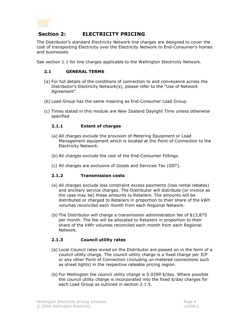

## Section 2: ELECTRICITY PRICING

The Distributor's standard Electricity Network line charges are designed to cover the cost of transporting Electricity over the Electricity Network to End-Consumer's homes and businesses.

See section 1.1 for line charges applicable to the Wellington Electricity Network.

#### 2.1 GENERAL TERMS

- (a) For full details of the conditions of connection to and conveyance across the Distributor's Electricity Network(s), please refer to the "Use of Network Agreement".
- (b) Load Group has the same meaning as End-Consumer Load Group.
- (c) Times stated in this module are New Zealand Daylight Time unless otherwise specified

#### 2.1.1 Extent of charges

- (a) All charges exclude the provision of Metering Equipment or Load Management equipment which is located at the Point of Connection to the Electricity Network.
- (b) All charges exclude the cost of the End-Consumer Fittings.
- (c) All charges are exclusive of Goods and Services Tax (GST).

#### 2.1.2 Transmission costs

- (a) All charges exclude loss constraint excess payments (loss rental rebates) and ancillary service charges. The Distributor will distribute (or invoice as the case may be) these amounts to Retailers. The amounts will be distributed or charged to Retailers in proportion to their share of the kWh volumes reconciled each month from each Regional Network.
- (b) The Distributor will charge a transmission administration fee of \$13,875 per month. The fee will be allocated to Retailers in proportion to their share of the kWh volumes reconciled each month from each Regional Network.

#### 2.1.3 Council utility rates

- (a) Local Council rates levied on the Distributor are passed on in the form of a council utility charge. The council utility charge is a fixed charge per ICP or any other Point of Connection (including un-metered connections such as street lights) in the respective rateable pricing region.
- (b) For Wellington the council utility charge is 0.0299 \$/day. Where possible the council utility charge is incorporated into the fixed \$/day charges for each Load Group as outlined in section 2.1.5.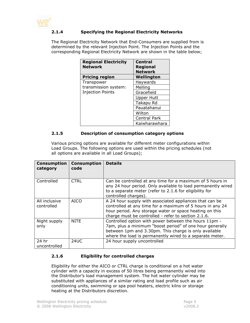

#### 2.1.4 Specifying the Regional Electricity Networks

The Regional Electricity Network that End-Consumers are supplied from is determined by the relevant Injection Point. The Injection Points and the corresponding Regional Electricity Network are shown in the table below;

| <b>Regional Electricity</b><br><b>Network</b> | <b>Central</b><br><b>Regional</b><br><b>Network</b> |  |
|-----------------------------------------------|-----------------------------------------------------|--|
| <b>Pricing region</b>                         | Wellington                                          |  |
| Transpower                                    | Haywards                                            |  |
| transmission system:                          | Melling                                             |  |
| <b>Injection Points</b>                       | Gracefield                                          |  |
|                                               | <b>Upper Hutt</b>                                   |  |
|                                               | Takapu Rd                                           |  |
|                                               | Pauatahanui                                         |  |
|                                               | Wilton                                              |  |
|                                               | <b>Central Park</b>                                 |  |
|                                               | Kaiwharawhara                                       |  |

#### 2.1.5 Description of consumption category options

Various pricing options are available for different meter configurations within Load Groups. The following options are used within the pricing schedules (not all options are available in all Load Groups);

| <b>Consumption</b><br>category | <b>Consumption</b><br>code | <b>Details</b>                                                                                                                                                                                                                         |
|--------------------------------|----------------------------|----------------------------------------------------------------------------------------------------------------------------------------------------------------------------------------------------------------------------------------|
| Controlled                     | <b>CTRL</b>                | Can be controlled at any time for a maximum of 5 hours in<br>any 24 hour period. Only available to load permanently wired<br>to a separate meter (refer to 2.1.6 for eligibility for<br>controlled charges).                           |
| All inclusive<br>controlled    | <b>AICO</b>                | A 24 hour supply with associated appliances that can be<br>controlled at any time for a maximum of 5 hours in any 24<br>hour period. Any storage water or space heating on this<br>charge must be controlled - refer to section 2.1.6. |
| Night supply<br>only           | <b>NITE</b>                | Controlled option with power between the hours 11pm -<br>7am, plus a minimum "boost period" of one hour generally<br>between 1pm and 3.30pm. This charge is only available<br>where the load is permanently wired to a separate meter. |
| 24 hr<br>uncontrolled          | 24UC                       | 24 hour supply uncontrolled                                                                                                                                                                                                            |

#### 2.1.6 Eligibility for controlled charges

Eligibility for either the AICO or CTRL charge is conditional on a hot water cylinder with a capacity in excess of 50 litres being permanently wired into the Distributor's load management system. The hot water cylinder may be substituted with appliances of a similar rating and load profile such as air conditioning units, swimming or spa pool heaters, electric kilns or storage heating at the Distributors discretion.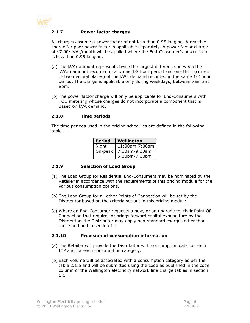

#### 2.1.7 Power factor charges

All charges assume a power factor of not less than 0.95 lagging. A reactive charge for poor power factor is applicable separately. A power factor charge of \$7.00/kVAr/month will be applied where the End-Consumer's power factor is less than 0.95 lagging.

- (a) The kVAr amount represents twice the largest difference between the kVArh amount recorded in any one 1⁄2 hour period and one third (correct to two decimal places) of the kWh demand recorded in the same 1⁄2 hour period. The charge is applicable only during weekdays, between 7am and 8pm.
- (b) The power factor charge will only be applicable for End-Consumers with TOU metering whose charges do not incorporate a component that is based on kVA demand.

#### 2.1.8 Time periods

The time periods used in the pricing schedules are defined in the following table.

| <b>Period</b> | Wellington     |  |
|---------------|----------------|--|
| Night         | 11:00pm-7:00am |  |
| On-peak       | 7:30am-9:30am  |  |
|               | 5:30pm-7:30pm  |  |

#### 2.1.9 Selection of Load Group

- (a) The Load Group for Residential End-Consumers may be nominated by the Retailer in accordance with the requirements of this pricing module for the various consumption options.
- (b) The Load Group for all other Points of Connection will be set by the Distributor based on the criteria set out in this pricing module.
- (c) Where an End-Consumer requests a new, or an upgrade to, their Point Of Connection that requires or brings forward capital expenditure by the Distributor, the Distributor may apply non-standard charges other than those outlined in section 1.1.

#### 2.1.10 Provision of consumption information

- (a) The Retailer will provide the Distributor with consumption data for each ICP and for each consumption category.
- (b) Each volume will be associated with a consumption category as per the table 2.1.5 and will be submitted using the code as published in the code column of the Wellington electricity network line charge tables in section 1.1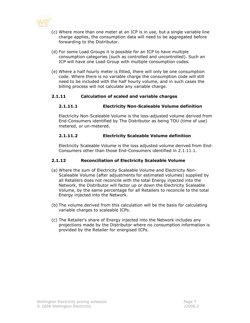

- (c) Where more than one meter at an ICP is in use, but a single variable line charge applies, the consumption data will need to be aggregated before forwarding to the Distributor.
- (d) For some Load Groups it is possible for an ICP to have multiple consumption categories (such as controlled and uncontrolled). Such an ICP will have one Load Group with multiple consumption codes.
- (e) Where a half hourly meter is fitted, there will only be one consumption code. Where there is no variable charge the consumption code will still need to be included with the half hourly volume, and in such cases the billing process will not calculate any variable charge.

#### 2.1.11 Calculation of scaled and variable charges

#### 2.1.11.1 Electricity Non-Scaleable Volume definition

Electricity Non-Scaleable Volume is the loss-adjusted volume derived from End-Consumers identified by The Distributor as being TOU (time of use) metered, or un-metered.

#### 2.1.11.2 Electricity Scaleable Volume definition

Electricity Scaleable Volume is the loss adjusted volume derived from End-Consumers other than those End-Consumers identified in 2.1.11.1.

#### 2.1.12 Reconciliation of Electricity Scaleable Volume

- (a) Where the sum of Electricity Scaleable Volume and Electricity Non-Scaleable Volume (after adjustments for estimated volumes) supplied by all Retailers does not reconcile with the total Energy injected into the Network, the Distributor will factor up or down the Electricity Scaleable Volume, by the same percentage for all Retailers to reconcile to the total Energy injected into the Network.
- (b) The volume derived from this calculation will be the basis for calculating variable charges to scaleable ICPs.
- (c) The Retailer's share of Energy injected into the Network includes any projections made by the Distributor where no consumption information is provided by the Retailer for energised ICPs.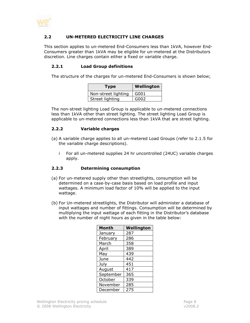

#### 2.2 UN-METERED ELECTRICITY LINE CHARGES

This section applies to un-metered End-Consumers less than 1kVA, however End-Consumers greater than 1kVA may be eligible for un-metered at the Distributors discretion. Line charges contain either a fixed or variable charge.

#### 2.2.1 Load Group definitions

The structure of the charges for un-metered End-Consumers is shown below;

| <b>Type</b>         | <b>Wellington</b> |
|---------------------|-------------------|
| Non-street lighting | G001              |
| Street lighting     | G002              |

The non-street lighting Load Group is applicable to un-metered connections less than 1kVA other than street lighting. The street lighting Load Group is applicable to un-metered connections less than 1kVA that are street lighting.

#### 2.2.2 Variable charges

- (a) A variable charge applies to all un-metered Load Groups (refer to 2.1.5 for the variable charge descriptions).
	- i For all un-metered supplies 24 hr uncontrolled (24UC) variable charges apply.

#### 2.2.3 Determining consumption

- (a) For un-metered supply other than streetlights, consumption will be determined on a case-by-case basis based on load profile and input wattages. A minimum load factor of 10% will be applied to the input wattage.
- (b) For Un-metered streetlights, the Distributor will administer a database of input wattages and number of fittings. Consumption will be determined by multiplying the input wattage of each fitting in the Distributor's database with the number of night hours as given in the table below:

| <b>Month</b> | Wellington |
|--------------|------------|
| January      | 287        |
| February     | 286        |
| March        | 358        |
| April        | 389        |
| May          | 439        |
| June         | 442        |
| July         | 451        |
| August       | 417        |
| September    | 365        |
| October      | 339        |
| November     | 285        |
| December     | 275        |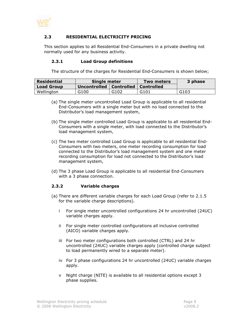

#### 2.3 RESIDENTIAL ELECTRICITY PRICING

This section applies to all Residential End-Consumers in a private dwelling not normally used for any business activity.

#### 2.3.1 Load Group definitions

The structure of the charges for Residential End-Consumers is shown below;

| <b>Residential</b> | Single meter              |      | Two meters | 3 phase |
|--------------------|---------------------------|------|------------|---------|
| <b>Load Group</b>  | Uncontrolled   Controlled |      | Controlled |         |
| Wellington         | G100                      | G102 | G101       | G103    |

- (a) The single meter uncontrolled Load Group is applicable to all residential End-Consumers with a single meter but with no load connected to the Distributor's load management system,
- (b) The single meter controlled Load Group is applicable to all residential End-Consumers with a single meter, with load connected to the Distributor's load management system,
- (c) The two meter controlled Load Group is applicable to all residential End-Consumers with two meters, one meter recording consumption for load connected to the Distributor's load management system and one meter recording consumption for load not connected to the Distributor's load management system,
- (d) The 3 phase Load Group is applicable to all residential End-Consumers with a 3 phase connection.

#### 2.3.2 Variable charges

- (a) There are different variable charges for each Load Group (refer to 2.1.5 for the variable charge descriptions).
	- i For single meter uncontrolled configurations 24 hr uncontrolled (24UC) variable charges apply.
	- ii For single meter controlled configurations all inclusive controlled (AICO) variable charges apply.
	- iii For two meter configurations both controlled (CTRL) and 24 hr uncontrolled (24UC) variable charges apply (controlled charge subject to load permanently wired to a separate meter).
	- iv For 3 phase configurations 24 hr uncontrolled (24UC) variable charges apply.
	- v Night charge (NITE) is available to all residential options except 3 phase supplies.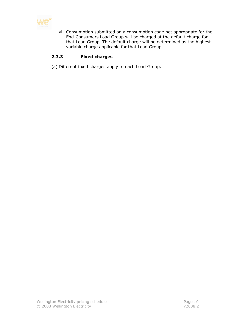

vi Consumption submitted on a consumption code not appropriate for the End-Consumers Load Group will be charged at the default charge for that Load Group. The default charge will be determined as the highest variable charge applicable for that Load Group.

#### 2.3.3 Fixed charges

(a) Different fixed charges apply to each Load Group.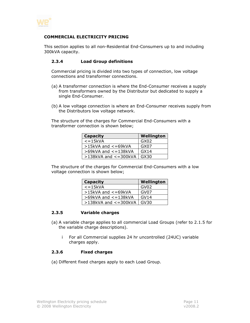

#### COMMERCIAL ELECTRICITY PRICING

This section applies to all non-Residential End-Consumers up to and including 300kVA capacity.

#### 2.3.4 Load Group definitions

Commercial pricing is divided into two types of connection, low voltage connections and transformer connections.

- (a) A transformer connection is where the End-Consumer receives a supply from transformers owned by the Distributor but dedicated to supply a single End-Consumer.
- (b) A low voltage connection is where an End-Consumer receives supply from the Distributors low voltage network.

The structure of the charges for Commercial End-Consumers with a transformer connection is shown below;

| <b>Capacity</b>            | Wellington |
|----------------------------|------------|
| $\epsilon$ =15 $\kappa$ VA | GX02       |
| $>15kVA$ and $<=69kVA$     | GX07       |
| $>69$ kVA and $<=138$ kVA  | GX14       |
| $>138$ kVA and $<=300$ kVA | GX30       |

The structure of the charges for Commercial End-Consumers with a low voltage connection is shown below;

| <b>Capacity</b>            | Wellington |
|----------------------------|------------|
| $\epsilon$ =15 $kVA$       | GV02       |
| $>15kVA$ and $<=69kVA$     | GV07       |
| $>69$ kVA and $<=138$ kVA  | GVI4       |
| $>138$ kVA and $<=300$ kVA | GV30       |

#### 2.3.5 Variable charges

- (a) A variable charge applies to all commercial Load Groups (refer to 2.1.5 for the variable charge descriptions).
	- i For all Commercial supplies 24 hr uncontrolled (24UC) variable charges apply.

#### 2.3.6 Fixed charges

(a) Different fixed charges apply to each Load Group.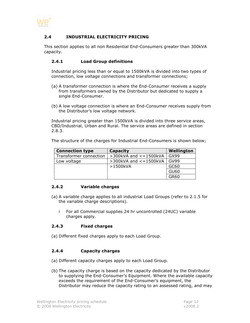

#### 2.4 INDUSTRIAL ELECTRICITY PRICING

This section applies to all non Residential End-Consumers greater than 300kVA capacity.

#### 2.4.1 Load Group definitions

Industrial pricing less than or equal to 1500kVA is divided into two types of connection, low voltage connections and transformer connections;

- (a) A transformer connection is where the End-Consumer receives a supply from transformers owned by the Distributor but dedicated to supply a single End-Consumer.
- (b) A low voltage connection is where an End-Consumer receives supply from the Distributor's low voltage network.

Industrial pricing greater than 1500kVA is divided into three service areas, CBD/Industrial, Urban and Rural. The service areas are defined in section 2.8.3.

The structure of the charges for Industrial End-Consumers is shown below;

| <b>Connection type</b> | <b>Capacity</b>              | Wellington  |  |
|------------------------|------------------------------|-------------|--|
| Transformer connection | $>$ 300kVA and $<$ = 1500kVA | GX99        |  |
| Low voltage            | $>$ 300kVA and $<$ = 1500kVA | GV99        |  |
|                        | >1500kVA                     | GC60        |  |
|                        |                              | <b>GU60</b> |  |
|                        |                              | <b>GR60</b> |  |

#### 2.4.2 Variable charges

- (a) A variable charge applies to all industrial Load Groups (refer to 2.1.5 for the variable charge descriptions).
	- i For all Commercial supplies 24 hr uncontrolled (24UC) variable charges apply.

#### 2.4.3 Fixed charges

(a) Different fixed charges apply to each Load Group.

#### 2.4.4 Capacity charges

- (a) Different capacity charges apply to each Load Group.
- (b) The capacity charge is based on the capacity dedicated by the Distributor to supplying the End-Consumer's Equipment. Where the available capacity exceeds the requirement of the End-Consumer's equipment, the Distributor may reduce the capacity rating to an assessed rating, and may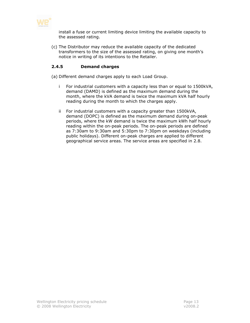

install a fuse or current limiting device limiting the available capacity to the assessed rating.

(c) The Distributor may reduce the available capacity of the dedicated transformers to the size of the assessed rating, on giving one month's notice in writing of its intentions to the Retailer.

#### 2.4.5 Demand charges

(a) Different demand charges apply to each Load Group.

- i For industrial customers with a capacity less than or equal to 1500kVA, demand (DAMD) is defined as the maximum demand during the month, where the kVA demand is twice the maximum kVA half hourly reading during the month to which the charges apply.
- ii For industrial customers with a capacity greater than 1500kVA, demand (DOPC) is defined as the maximum demand during on-peak periods, where the kW demand is twice the maximum kWh half hourly reading within the on-peak periods. The on-peak periods are defined as 7:30am to 9:30am and 5:30pm to 7:30pm on weekdays (including public holidays). Different on-peak charges are applied to different geographical service areas. The service areas are specified in 2.8.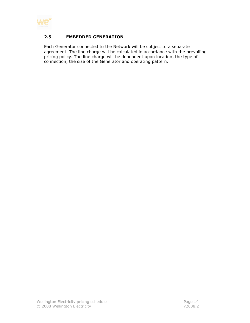

#### 2.5 EMBEDDED GENERATION

Each Generator connected to the Network will be subject to a separate agreement. The line charge will be calculated in accordance with the prevailing pricing policy. The line charge will be dependent upon location, the type of connection, the size of the Generator and operating pattern.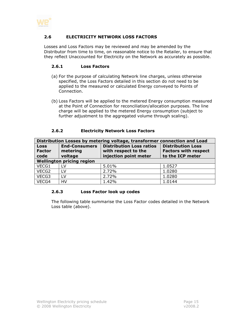

#### 2.6 ELECTRICITY NETWORK LOSS FACTORS

Losses and Loss Factors may be reviewed and may be amended by the Distributor from time to time, on reasonable notice to the Retailer, to ensure that they reflect Unaccounted for Electricity on the Network as accurately as possible.

#### 2.6.1 Loss Factors

- (a) For the purpose of calculating Network line charges, unless otherwise specified, the Loss Factors detailed in this section do not need to be applied to the measured or calculated Energy conveyed to Points of Connection.
- (b) Loss Factors will be applied to the metered Energy consumption measured at the Point of Connection for reconciliation/allocation purposes. The line charge will be applied to the metered Energy consumption (subject to further adjustment to the aggregated volume through scaling).

#### 2.6.2 Electricity Network Loss Factors

| Distribution Losses by metering voltage, transformer connection and Load |                      |                                 |                             |  |
|--------------------------------------------------------------------------|----------------------|---------------------------------|-----------------------------|--|
| <b>Loss</b>                                                              | <b>End-Consumers</b> | <b>Distribution Loss ratios</b> | <b>Distribution Loss</b>    |  |
| <b>Factor</b>                                                            | metering             | with respect to the             | <b>Factors with respect</b> |  |
| code                                                                     | voltage              | injection point meter           | to the ICP meter            |  |
| <b>Wellington pricing region</b>                                         |                      |                                 |                             |  |
| VECG1                                                                    | LV                   | 5.01%                           | 1.0527                      |  |
| VECG2                                                                    | LV.                  | 2.72%                           | 1.0280                      |  |
| VECG3                                                                    | <b>LV</b>            | 2.72%                           | 1.0280                      |  |
| VECG4                                                                    | HV                   | 1.42%                           | 1.0144                      |  |

#### 2.6.3 Loss Factor look up codes

The following table summarise the Loss Factor codes detailed in the Network Loss table (above).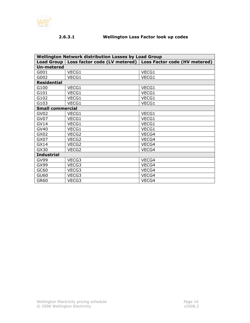

### 2.6.3.1 Wellington Loss Factor look up codes

| <b>Wellington Network distribution Losses by Load Group</b> |       |                                                               |  |  |
|-------------------------------------------------------------|-------|---------------------------------------------------------------|--|--|
| Load Group                                                  |       | Loss factor code (LV metered)   Loss Factor code (HV metered) |  |  |
| <b>Un-metered</b>                                           |       |                                                               |  |  |
| G001                                                        | VECG1 | VECG1                                                         |  |  |
| G002                                                        | VECG1 | VECG1                                                         |  |  |
| <b>Residential</b>                                          |       |                                                               |  |  |
| G100                                                        | VECG1 | VECG1                                                         |  |  |
| G101                                                        | VECG1 | VECG1                                                         |  |  |
| G102                                                        | VECG1 | VECG1                                                         |  |  |
| G103                                                        | VECG1 | VECG1                                                         |  |  |
| <b>Small commercial</b>                                     |       |                                                               |  |  |
| GV <sub>02</sub>                                            | VECG1 | VECG1                                                         |  |  |
| GV07                                                        | VECG1 | VECG1                                                         |  |  |
| <b>GV14</b>                                                 | VECG1 | VECG1                                                         |  |  |
| GV40                                                        | VECG1 | VECG1                                                         |  |  |
| GX02                                                        | VECG2 | VECG4                                                         |  |  |
| GX07                                                        | VECG2 | VECG4                                                         |  |  |
| GX14                                                        | VECG2 | VECG4                                                         |  |  |
| GX30                                                        | VECG2 | VECG4                                                         |  |  |
| <b>Industrial</b>                                           |       |                                                               |  |  |
| GV99                                                        | VECG3 | VECG4                                                         |  |  |
| GX99                                                        | VECG3 | VECG4                                                         |  |  |
| GC60                                                        | VECG3 | VECG4                                                         |  |  |
| GU60                                                        | VECG3 | VECG4                                                         |  |  |
| GR60                                                        | VECG3 | VECG4                                                         |  |  |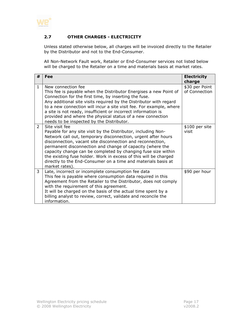

## 2.7 OTHER CHARGES - ELECTRICITY

Unless stated otherwise below, all charges will be invoiced directly to the Retailer by the Distributor and not to the End-Consumer.

All Non-Network Fault work, Retailer or End-Consumer services not listed below will be charged to the Retailer on a time and materials basis at market rates.

| #             | Fee                                                                                                                                                                                                                                                                                                                                                                                                                                                                                                 | <b>Electricity</b><br>charge    |
|---------------|-----------------------------------------------------------------------------------------------------------------------------------------------------------------------------------------------------------------------------------------------------------------------------------------------------------------------------------------------------------------------------------------------------------------------------------------------------------------------------------------------------|---------------------------------|
| $\mathbf{1}$  | New connection fee<br>This fee is payable when the Distributor Energises a new Point of<br>Connection for the first time, by inserting the fuse.<br>Any additional site visits required by the Distributor with regard<br>to a new connection will incur a site visit fee. For example, where<br>a site is not ready, insufficient or incorrect information is<br>provided and where the physical status of a new connection<br>needs to be inspected by the Distributor.                           | \$30 per Point<br>of Connection |
| $\mathcal{P}$ | Site visit fee<br>Payable for any site visit by the Distributor, including Non-<br>Network call out, temporary disconnection, urgent after hours<br>disconnection, vacant site disconnection and reconnection,<br>permanent disconnection and change of capacity (where the<br>capacity change can be completed by changing fuse size within<br>the existing fuse holder. Work in excess of this will be charged<br>directly to the End-Consumer on a time and materials basis at<br>market rates). | \$100 per site<br>visit         |
| 3             | Late, incorrect or incomplete consumption fee data<br>This fee is payable where consumption data required in this<br>Agreement from the Retailer to the Distributor, does not comply<br>with the requirement of this agreement.<br>It will be charged on the basis of the actual time spent by a<br>billing analyst to review, correct, validate and reconcile the<br>information.                                                                                                                  | \$90 per hour                   |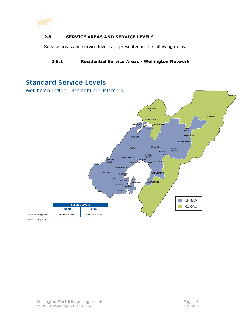

#### 2.8 SERVICE AREAS AND SERVICE LEVELS

Service areas and service levels are presented in the following maps.

#### 2.8.1 Residential Service Areas - Wellington Network

# **Standard Service Levels**

Wellington region - Residential customers



Effective: 1 May 2005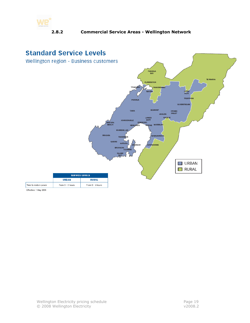

# **Standard Service Levels**